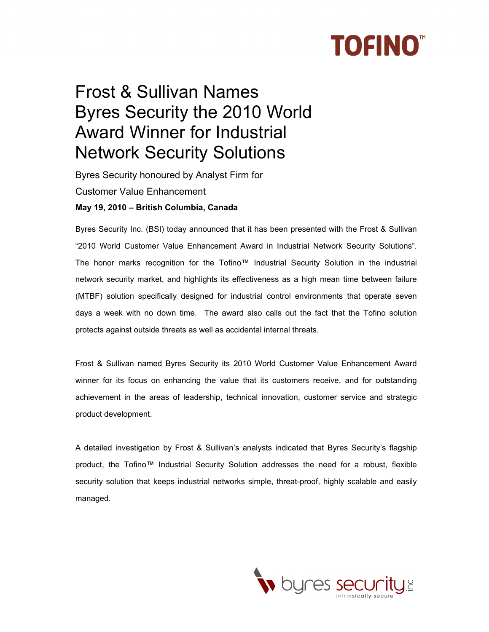# **TOFINO<sup>M</sup>**

## Frost & Sullivan Names Byres Security the 2010 World Award Winner for Industrial Network Security Solutions

Byres Security honoured by Analyst Firm for Customer Value Enhancement **May 19, 2010 – British Columbia, Canada** 

Byres Security Inc. (BSI) today announced that it has been presented with the Frost & Sullivan "2010 World Customer Value Enhancement Award in Industrial Network Security Solutions". The honor marks recognition for the Tofino™ Industrial Security Solution in the industrial network security market, and highlights its effectiveness as a high mean time between failure (MTBF) solution specifically designed for industrial control environments that operate seven days a week with no down time. The award also calls out the fact that the Tofino solution protects against outside threats as well as accidental internal threats.

Frost & Sullivan named Byres Security its 2010 World Customer Value Enhancement Award winner for its focus on enhancing the value that its customers receive, and for outstanding achievement in the areas of leadership, technical innovation, customer service and strategic product development.

A detailed investigation by Frost & Sullivan's analysts indicated that Byres Security's flagship product, the Tofino™ Industrial Security Solution addresses the need for a robust, flexible security solution that keeps industrial networks simple, threat-proof, highly scalable and easily managed.

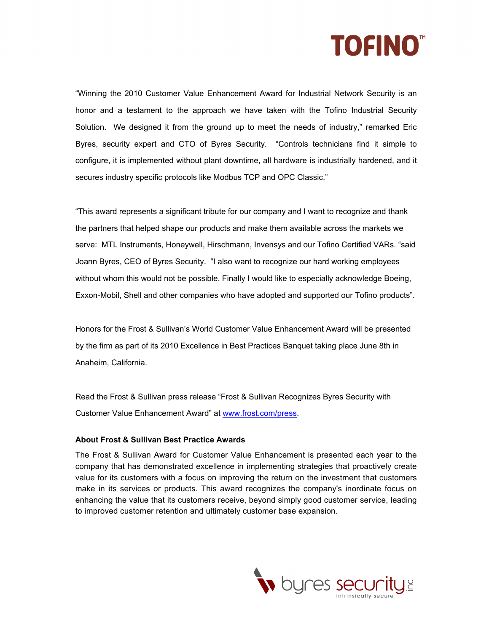

"Winning the 2010 Customer Value Enhancement Award for Industrial Network Security is an honor and a testament to the approach we have taken with the Tofino Industrial Security Solution. We designed it from the ground up to meet the needs of industry," remarked Eric Byres, security expert and CTO of Byres Security. "Controls technicians find it simple to configure, it is implemented without plant downtime, all hardware is industrially hardened, and it secures industry specific protocols like Modbus TCP and OPC Classic."

"This award represents a significant tribute for our company and I want to recognize and thank the partners that helped shape our products and make them available across the markets we serve: MTL Instruments, Honeywell, Hirschmann, Invensys and our Tofino Certified VARs. "said Joann Byres, CEO of Byres Security. "I also want to recognize our hard working employees without whom this would not be possible. Finally I would like to especially acknowledge Boeing, Exxon-Mobil, Shell and other companies who have adopted and supported our Tofino products".

Honors for the Frost & Sullivan's World Customer Value Enhancement Award will be presented by the firm as part of its 2010 Excellence in Best Practices Banquet taking place June 8th in Anaheim, California.

Read the Frost & Sullivan press release "Frost & Sullivan Recognizes Byres Security with Customer Value Enhancement Award" at www.frost.com/press.

#### **About Frost & Sullivan Best Practice Awards**

The Frost & Sullivan Award for Customer Value Enhancement is presented each year to the company that has demonstrated excellence in implementing strategies that proactively create value for its customers with a focus on improving the return on the investment that customers make in its services or products. This award recognizes the company's inordinate focus on enhancing the value that its customers receive, beyond simply good customer service, leading to improved customer retention and ultimately customer base expansion.